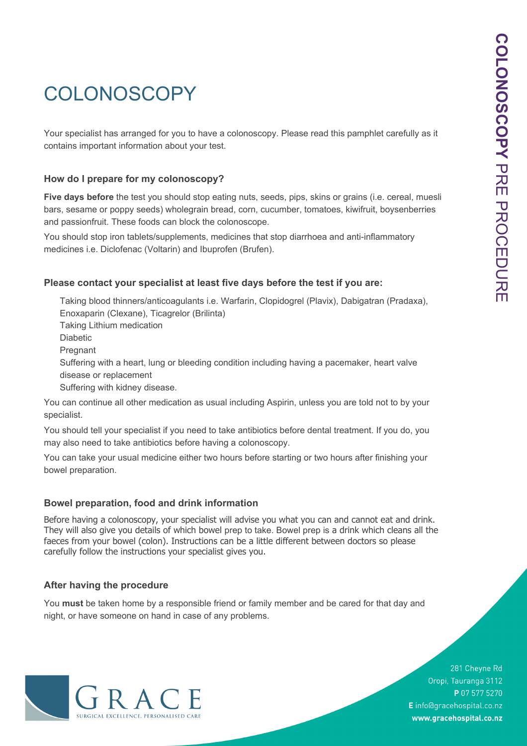# **COLONOSCOPY**

Your specialist has arranged for you to have a colonoscopy. Please read this pamphlet carefully as it contains important information about your test.

# **How do I prepare for my colonoscopy?**

**Five days before** the test you should stop eating nuts, seeds, pips, skins or grains (i.e. cereal, muesli bars, sesame or poppy seeds) wholegrain bread, corn, cucumber, tomatoes, kiwifruit, boysenberries and passionfruit. These foods can block the colonoscope.

You should stop iron tablets/supplements, medicines that stop diarrhoea and anti-inflammatory medicines i.e. Diclofenac (Voltarin) and Ibuprofen (Brufen).

# **Please contact your specialist at least five days before the test if you are:**

Taking blood thinners/anticoagulants i.e. Warfarin, Clopidogrel (Plavix), Dabigatran (Pradaxa), Enoxaparin (Clexane), Ticagrelor (Brilinta) Taking Lithium medication Diabetic Pregnant Suffering with a heart, lung or bleeding condition including having a pacemaker, heart valve disease or replacement Suffering with kidney disease.

You can continue all other medication as usual including Aspirin, unless you are told not to by your specialist.

You should tell your specialist if you need to take antibiotics before dental treatment. If you do, you may also need to take antibiotics before having a colonoscopy.

You can take your usual medicine either two hours before starting or two hours after finishing your bowel preparation.

## **Bowel preparation, food and drink information**

Before having a colonoscopy, your specialist will advise you what you can and cannot eat and drink. They will also give you details of which bowel prep to take. Bowel prep is a drink which cleans all the faeces from your bowel (colon). Instructions can be a little different between doctors so please carefully follow the instructions your specialist gives you.

## **After having the procedure**

You **must** be taken home by a responsible friend or family member and be cared for that day and night, or have someone on hand in case of any problems.



281 Cheyne Rd Oropi, Tauranga 3112 P 07 577 5270 E info@gracehospital.co.nz www.gracehospital.co.nz